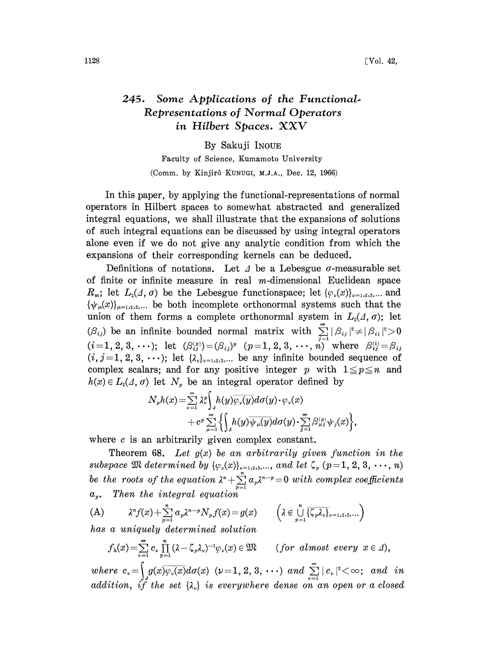## 245. Some Applications of the Functional. Representations of Normal Operators in Hilbert Spaces. XXV

By Sakuji INOUE

Faculty of Science, Kumamoto University (Comm. by Kinjir6 KUNUGI, M.J.A., Dec. 12, 1966)

In this paper, by applying the functional-representations of normal operators in Hilbert spaces to Somewhat abstracted and generalized integral equations, we shall illustrate that the expansions of solutions of such integral equations can be discussed by using integral operators alone even if we do not give any analytic condition from which the expansions of their corresponding kernels can be deduced.

Definitions of notations. Let  $\Delta$  be a Lebesgue  $\sigma$ -measurable set of finite or infinite measure in real  $m$ -dimensional Euclidean space  $R_m$ ; let  $L_2(\Lambda, \sigma)$  be the Lebesgue functionspace; let  $\{\varphi_\nu(x)\}_{\nu=1,2,3,\dots}$  and  $\{\psi_{\mu}(x)\}_{\mu=1,2,3,...}$  be both incomplete orthonormal systems such that the union of them forms a complete orthonormal system in  $L_2(\Lambda, \sigma)$ ; let  $(\beta_{ij})$  be an infinite bounded normal matrix with  $\sum |\beta_{ij}|^2 \neq |\beta_{ii}|^2\!>\!0$  $(i\!=\!1,2,3,\,\cdots); \text{ let } \ (\beta_{ij}^{_{(p)}})\!=\!(\beta_{ij})^p \ \ (p\!=\!1,2,3,\,\cdots,\,n) \text{ where } \ \ \beta_{ij}^{_{(1)}}\!=\!\beta_{ij}$  $(i, j=1, 2, 3, \ldots);$  let  $\{\lambda_{\nu}\}_{\nu=1,2,3,\ldots}$  be any infinite bounded sequence of complex scalars; and for any positive integer p with  $1 \leq p \leq n$  and  $h(x) \in L_2(\Lambda, \sigma)$  let  $N_p$  be an integral operator defined by

$$
N_{p}h(x) = \sum_{\nu=1}^{\infty} \lambda_{\nu}^{p} \left\{ h(y) \overline{\varphi_{\nu}(y)} d\sigma(y) \cdot \varphi_{\nu}(x) + c^p \sum_{\mu=1}^{\infty} \left\{ \int_{A} h(y) \overline{\psi_{\mu}(y)} d\sigma(y) \cdot \sum_{j=1}^{\infty} \beta_{\mu}^{(p)} \psi_{j}(x) \right\} \right\}
$$

where  $c$  is an arbitrarily given complex constant.

Theorem 68. Let  $g(x)$  be an arbitrarily given function in the subspace  $\mathfrak M$  determined by  $\{\varphi_\nu(x)\}_{\nu=1,2,3,\ldots,}$  and let  $\zeta_p$   $(p=1,\,2,\,3,\,\cdots,\,n)$ <br>be the roots of the equation  $\lambda^n+\sum\limits_{p=1}^n a_p \lambda^{n-p}=0$  with complex coefficients  $a_n$ . Then the integral equation

(A) 
$$
\lambda^n f(x) + \sum_{p=1}^n a_p \lambda^{n-p} N_p f(x) = g(x) \qquad \left( \lambda \notin \bigcup_{p=1}^n \overline{\{\zeta_p \lambda_p\}}_{\nu=1,2,3,\dots} \right)
$$
  
has a uniquely determined solution

 $f_{\lambda}(x) = \sum_{\nu=1}^{\infty} c_{\nu} \prod_{p=1}^{n} (\lambda - \zeta_{p} \lambda_{\nu})^{-1} \varphi_{\nu}(x) \in \mathfrak{M}$  (for almost every  $x \in \Delta$ ),

where  $c_v = \int_A g(x)\overline{\varphi_v(x)}d\sigma(x)$  ( $v = 1, 2, 3, \cdots$ ) and  $\sum_{\nu=1}^{\infty} |c_{\nu}|^2 < \infty$ ; and in addition, if the set  $\{\lambda_v\}$  is everywhere dense on an open or a closed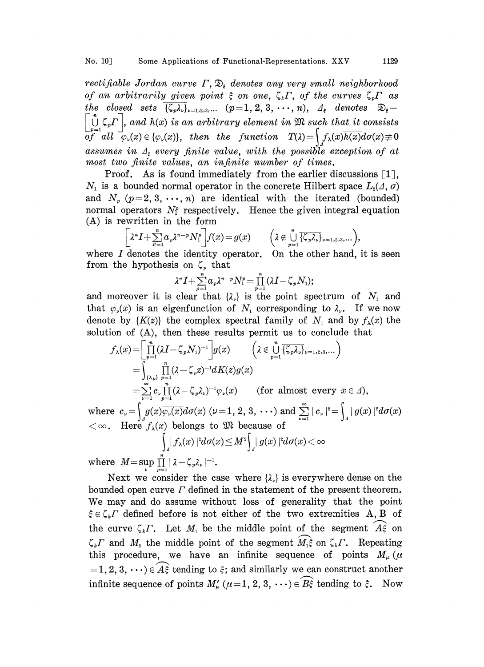rectifiable Jordan curve  $\Gamma$ ,  $\mathfrak{D}_\varepsilon$  denotes any very small neighborhood of an arbitrarily given point  $\xi$  on one,  $\zeta_k \Gamma$ , of the curves  $\zeta_p \Gamma$  as the closed sets  $\overline{\{\zeta_p\lambda_p\}}_{\nu=1,2,3,...}$   $(p=1,2,3,\cdots,n),$   $\Delta_{\xi}$  denotes  $\mathcal{D}_{\xi} \left[\bigcup_{p=1}^{n} \zeta_{p}\Gamma\right]$ , and  $h(x)$  is an arbitrary element in  $\mathfrak{M}$  such that it consists<br>of all  $\varphi_{\nu}(x) \in {\varphi_{\nu}(x)}$ , then the function  $T(\lambda) = \int f_{\lambda}(x)\overline{h(x)}d\sigma(x) \neq 0$ assumes in  $\Delta_{\varepsilon}$  every finite value, with the possible exception of at most two finite values, an infinite number of times.

Proof. As is found immediately from the earlier discussions  $\lceil 1 \rceil$ ,  $N_1$  is a bounded normal operator in the concrete Hilbert space  $L_2(\Lambda, \sigma)$ and  $N_p$  ( $p=2, 3, \dots, n$ ) are identical with the iterated (bounded) normal operators  $N_i^p$  respectively. Hence the given integral equation (A) is rewritten in the form

$$
\begin{bmatrix} \lambda^n I + \sum_{p=1}^n a_p \lambda^{n-p} N_1^p \end{bmatrix} f(x) = g(x) \qquad \left( \lambda \notin \bigcup_{p=1}^n \overline{\{\zeta_p \lambda_p\}}_{\nu=1,2,3,\dots} \right),
$$
  
where *I* denotes the identity operator. On the other hand, it is seen

from the hypothesis on  $\zeta_p$  that

$$
\lambda^n I+\sum_{p=1}^n a_p\lambda^{n-p}N_1^p=\prod_{p=1}^n\left(\lambda I-\zeta_pN_1\right);
$$

and moreover it is clear that  $\{\lambda_{\nu}\}\)$  is the point spectrum of  $N_1$  and that  $\varphi_{\nu}(x)$  is an eigenfunction of  $N_1$  corresponding to  $\lambda_{\nu}$ . If we now denote by  ${K(z)}$  the complex spectral family of  $N_1$  and by  $f_{\lambda}(x)$  the solution of (A), then these results permit us to conclude that

$$
f_{\lambda}(x) = \left[\prod_{p=1}^{n} (\lambda I - \zeta_{p} N_{1})^{-1}\right] g(x) \qquad \left(\lambda \notin \bigcup_{p=1}^{n} \overline{\{\zeta_{p} \lambda_{\nu}\}}_{\nu=1,2,3,...}\right)
$$
  
\n
$$
= \int_{\{\lambda_{\nu}\}} \prod_{p=1}^{n} (\lambda - \zeta_{p} z)^{-1} dK(z) g(x)
$$
  
\n
$$
= \sum_{\nu=1}^{\infty} c_{\nu} \prod_{p=1}^{n} (\lambda - \zeta_{p} \lambda_{\nu})^{-1} \varphi_{\nu}(x) \qquad \text{(for almost every } x \in \Lambda),
$$

where  $c_v = \int_a g(x) \overline{\varphi_v(x)} d\sigma(x)$  ( $\nu = 1, 2, 3, \cdots$ ) and  $\sum_{\nu=1}^{\infty} |c_{\nu}|^2 = \int_a$ <br>  $< \infty$ . Here  $f_{\lambda}(x)$  belongs to  $\mathfrak{M}$  because of

$$
\int_{\mathbb{R}^n} |f_\lambda(x)|^2 d\sigma(x) \leq M^2 \int_{\mathbb{R}^n} |g(x)|^2 d\sigma(x) < \infty
$$

where  $M = \sup_{\nu} \prod_{n=1} | \lambda - \zeta_n \lambda_{\nu} |^{-1}$ .

Next we consider the case where  $\{\lambda_k\}$  is everywhere dense on the bounded open curve  $\Gamma$  defined in the statement of the present theorem. We may and do assume without loss of generality that the point  $\xi \in \zeta_k \Gamma$  defined before is not either of the two extremities A, B of the curve  $\zeta_k \Gamma$ . Let  $M_1$  be the middle point of the segment  $\widehat{A}_s$  on  $\zeta_k \Gamma$  and  $M_2$  the middle point of the segment  $\widehat{M_1 \xi}$  on  $\zeta_k \Gamma$ . Repeating this procedure, we have an infinite sequence of points  $M_{\mu}(\mu)$ =1, 2, 3,  $\cdots$ )  $\in$   $\widehat{A\hat{\xi}}$  tending to  $\xi$ ; and similarly we can construct another infinite sequence of points  $M'_{\mu}$  ( $\mu$  = 1, 2, 3,  $\cdots$ )  $\in \widehat{B_{\xi}}$  tending to  $\xi$ . Now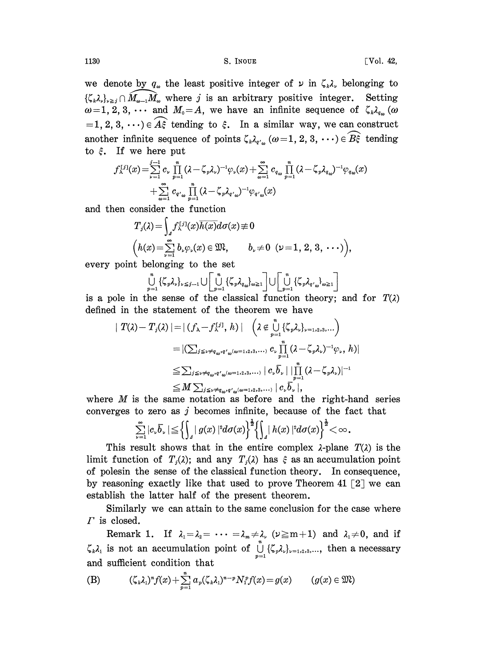1130 S. INOUE Vol. 42,

we denote by  $q_{\omega}$  the least positive integer of  $\nu$  in  $\zeta_{\mu}\lambda_{\nu}$  belonging to  $\{\zeta_k \lambda_k\}_{k \geq j} \cap \widehat{M}_{\omega-1} \widehat{M}_{\omega}$  where j is an arbitrary positive integer. Setting  $\omega=1, 2, 3, \cdots$  and  $M_0=A$ , we have an infinite sequence of  $\zeta_k\lambda_{q_\omega}$  ( $\omega$ ) =1, 2, 3,  $\cdots$ )  $\in$   $A\hat{\xi}$  tending to  $\xi$ . In a similar way, we can construct another infinite sequence of points  $\zeta_{k}\lambda_{q'_{m}}(\omega=1, 2, 3, \cdots) \in \widehat{B_{\varsigma}}$  tending to  $\xi$ . If we here put

$$
\begin{array}{l}f_{\lambda}^{[j]}(x)\!=\!\sum\limits_{\nu=1}^{j-1}c_{\nu}\prod\limits_{p=1}^{n}(\lambda\!-\!\zeta_{p}\lambda_{\nu})^{-1}\varphi_{\nu}(x)\!+\!\sum\limits_{\omega=1}^{\infty}c_{q_{\omega}}\prod\limits_{p=1}^{n}(\lambda\!-\!\zeta_{p}\lambda_{q_{\omega}})^{-1}\varphi_{q_{\omega}}(x)\\ \qquad+\sum\limits_{\omega=1}^{\infty}c_{q_{\omega}}\prod\limits_{p=1}^{n}(\lambda\!-\!\zeta_{p}\lambda_{q_{\omega}})^{-1}\varphi_{q_{\omega}}(x)\end{array}
$$

and then consider the function

$$
T_j(\lambda) = \int_{\mathfrak{a}} f_{\lambda}^{[j]}(x) \overline{h(x)} d\sigma(x) \neq 0
$$
  

$$
(h(x) = \sum_{\nu=1}^{\infty} b_{\nu} \varphi_{\nu}(x) \in \mathfrak{M}, \qquad b_{\nu} \neq 0 \ \ (\nu = 1, 2, 3, \ \cdots)),
$$

every point belonging to the set

$$
\bigcup_{p=1}^{n} \{\zeta_{p}\lambda_{v}\}_{v\leq j-1} \cup \left[\bigcup_{p=1}^{n} \{\zeta_{p}\lambda_{q_{\omega}}\}_{\omega\geq 1}\right] \cup \left[\bigcup_{p=1}^{n} \{\zeta_{p}\lambda_{q_{\omega}}\}_{\omega\geq 1}\right]
$$
\nthe same set that classical functions, the curve

is a pole in the sense of the classical function theory; and for  $T(\lambda)$ defined in the statement of the theorem we have

$$
\begin{split} \mid T(\lambda) - T_j(\lambda) \mid &= \mid (f_{\lambda} - f_{\lambda}^{[j]}, \, h) \mid \quad \left( \lambda \notin \bigcup_{p=1}^n \{ \zeta_p \lambda_\nu \}_{\nu=1,2,3,\dots} \right) \\ &= \mid \left( \sum_{j \leq \nu \neq q_{\omega}, q'_{\omega}(\omega=1,2,3,\dots)} c_{\nu} \prod_{p=1}^n (\lambda - \zeta_p \lambda_\nu)^{-1} \varphi_{\nu}, \, h \right) \\ &\leq \sum_{j \leq \nu \neq q_{\omega}, q'_{\omega}(\omega=1,2,3,\dots)} \mid c_{\nu} \overline{b}_{\nu} \mid \prod_{p=1}^n (\lambda - \zeta_p \lambda_\nu)^{-1} \\ &\leq M \sum_{j \leq \nu \neq q_{\omega}, q'_{\omega}(\omega=1,2,3,\dots)} \mid c_{\nu} \overline{b}_{\nu} \mid, \end{split}
$$

where  $M$  is the same notation as before and the right-hand series converges to zero as  $j$  becomes infinite, because of the fact that

$$
\sum_{\nu=1}^{\infty}|c_{\nu}\overline{b}_{\nu}|\leq \left\{\int_{A}|g(x)|^{2}d\sigma(x)\right\}^{\frac{1}{2}}\left\{\int_{A}|h(x)|^{2}d\sigma(x)\right\}^{\frac{1}{2}}<\infty.
$$

This result shows that in the entire complex  $\lambda$ -plane  $T(\lambda)$  is the limit function of  $T_i(\lambda)$ ; and any  $T_i(\lambda)$  has  $\xi$  as an accumulation point of polesin the sense of the classical function theory. In consequence, by reasoning exactly like that used to prove Theorem 41  $\lceil 2 \rceil$  we can establish the latter half of the present theorem.

Similarly we can attain to the same conclusion for the case where  $\Gamma$  is closed.

Remark 1. If  $\lambda_1 = \lambda_2 = \cdots = \lambda_m \neq \lambda$ ,  $(\nu \geq m+1)$  and  $\lambda_1 \neq 0$ , and if  $\lambda_1 = \lambda_2 = \cdots = \lambda_m \neq \lambda$ ,  $(\nu \ge m+1)$  and  $\lambda_1 \neq 0$ , and if contained to the  $\bigcup_{p=1}^m {\{\zeta}_p \lambda_p\}}_{\nu=1,2,3,\dots}$ , then a necessary that  $\zeta_k \lambda_1$  is not an accumulation point of  $\bigcup_{p=1}^{\infty} \{\zeta_p \lambda_p\}_{p=1,2,3,...}$ , then a necessary and sufficient condition that

(B) 
$$
(\zeta_k \lambda_1)^n f(x) + \sum_{p=1}^n a_p (\zeta_k \lambda_1)^{n-p} N_1^p f(x) = g(x) \qquad (g(x) \in \mathfrak{M})
$$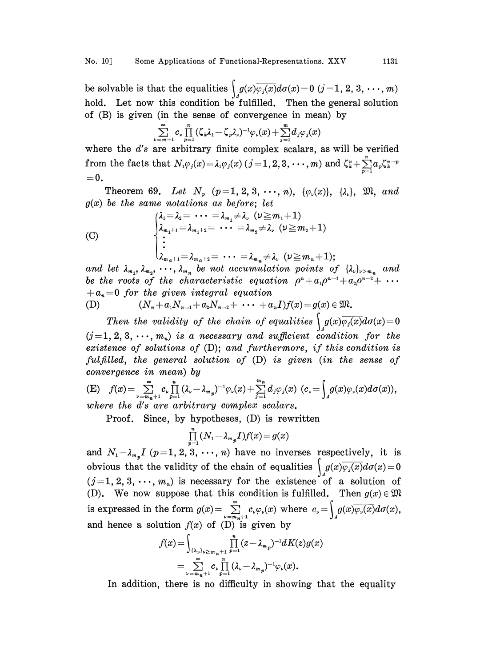be solvable is that the equalities  $\int_{a} g(x) \varphi_j(x) d\sigma(x) = 0 \ (j = 1, 2, 3, \cdots, m)$ hold. Let now this condition be fulfilled. Then the general solution of (B) is given (in the sense of convergence in mean) by

$$
\sum_{\nu=m+1}^{\infty}c_{\nu}\prod_{p=1}^{n}(\zeta_{k}\lambda_{1}-\zeta_{p}\lambda_{\nu})^{-1}\varphi_{\nu}(x)+\sum_{j=1}^{m}d_{j}\varphi_{j}(x)
$$

where the  $d$ 's are arbitrary finite complex scalars, as will be verified where the d's are arbitrary finite complex scalars, as will be verified<br>from the facts that  $N_1\varphi_j(x) = \lambda_1\varphi_j(x)$   $(j = 1, 2, 3, \dots, m)$  and  $\zeta_k^n + \sum_{p=1}^n a_p \zeta_k^{n-p}$ <br>= 0.  $=0.$ 

Theorem 69. Let  $N_p$   $(p=1, 2, 3, \dots, n)$ ,  $\{\varphi_n(x)\}, \{\lambda_n\}, \mathfrak{M}, \text{and}$  $g(x)$  be the same notations as before; let

(C)  
\n
$$
\begin{cases}\n\lambda_1 = \lambda_2 = \cdots = \lambda_{m_1} \neq \lambda_\nu \quad (\nu \geq m_1 + 1) \\
\lambda_{m_1+1} = \lambda_{m_1+2} = \cdots = \lambda_{m_2} \neq \lambda_\nu \quad (\nu \geq m_2 + 1) \\
\vdots \\
\lambda_{m_{\alpha}+1} = \lambda_{m_{\alpha}+2} = \cdots = \lambda_{m_n} \neq \lambda_\nu \quad (\nu \geq m_n + 1); \\
\text{and let } \lambda_{m_1}, \lambda_{m_2}, \cdots, \lambda_{m_n} \text{ be not accumulation points of } {\lambda_\nu}_{\nu > m_n} \text{ and} \n\end{cases}
$$

$$
\lambda_{m_{\alpha}+1}=\lambda_{m_{\alpha}+2}=\cdots=\lambda_{m_n}\neq\lambda_{\nu} \ (\nu\geq m_n+1);
$$

be the roots of the characteristic equation  $\rho^{n} + a_{n}\rho^{n-1} + a_{n}\rho^{n-2} + a_{n} = 0$  for the given integral equation  $+a_n=0$  for the given integral equation<br>
(D)  $(N_n+a_1N_{n-1}+a_2N_{n-2}+\cdots+a_nI)f(x)=g(x)\in \mathfrak{M}.$ 

(D) 
$$
(N_{n} + a_{1}N_{n-1} + a_{2}N_{n-2} + \cdots + a_{n}I)f(x) = g(x) \in \mathfrak{M}.
$$

Then the validity of the chain of equalities  $\int_{A} g(x)\overline{\varphi_j(x)}d\sigma(x)=0$  $(j=1, 2, 3, \cdots, m_n)$  is a necessary and sufficient condition for the existence of solutions of (D); and furthermore, if this condition is fulfilled, the general solution of (D) is given (in the sense of convergence in mean) by

(E) 
$$
f(x) = \sum_{\nu=m_n+1}^{\infty} c_{\nu} \prod_{p=1}^{n} (\lambda_{\nu} - \lambda_{m_p})^{-1} \varphi_{\nu}(x) + \sum_{j=1}^{m_n} d_j \varphi_j(x) \ (c_{\nu} = \int_{A} g(x) \overline{\varphi_{\nu}(x)} d\sigma(x)),
$$
where the d's are arbitrary complex scalars.

Proof. Since, by hypotheses, (D) is rewritten

$$
\prod_{p=1}^n (N_1 - \lambda_{m_p} I) f(x) = g(x)
$$

and  $N_1-\lambda_{m_p}I$  ( $p=1, 2, 3, \cdots, n$ ) have no inverses respectively, it is obvious that the validity of the chain of equalities  $\int g(x)\overline{\varphi_j(x)}d\sigma(x)=0$  $(j=1, 2, 3, \cdots, m_n)$  is necessary for the existence of a solution of (D). We now suppose that this condition is fulfilled. Then  $g(x) \in \mathfrak{M}$ is expressed in the form  $g(x) = \sum_{\nu=m_{n+1}}^{\infty} c_{\nu} \varphi_{\nu}(x)$  where  $c_{\nu} = \int_{A} g(x) \overline{\varphi_{\nu}(x)} d\sigma(x)$ , and hence a solution  $f(x)$  of  $(D)$  is given by

$$
f(x)\!=\!\!\int_{(\lambda_\nu)_{\nu\geqslant m_n+1}}\prod_{p=1}^n(z\!-\!\lambda_{m_p})^{-\mathrm{i}}dK(z)g(x)\\=\sum_{\nu=m_n+1}^\infty\!c_\nu\prod_{p=1}^n(\lambda_\nu\!-\!\lambda_{m_p})^{-\mathrm{i}}\varphi_\nu(x).
$$

In addition, there is no difficulty in showing that the equality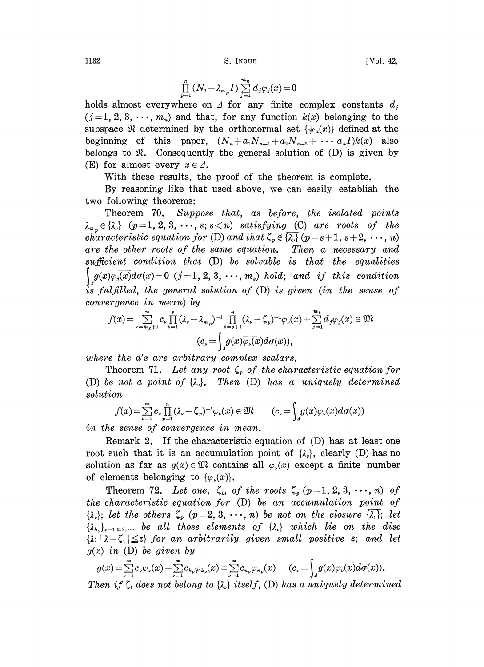$$
\prod_{p=1}^n(N_1-\lambda_{m_p}I)\sum_{j=1}^{m_n}d_j\varphi_j(x)\!=\!0
$$

holds almost everywhere on  $\Delta$  for any finite complex constants  $d_i$  $(j=1, 2, 3, \dots, m_n)$  and that, for any function  $k(x)$  belonging to the subspace  $\Re$  determined by the orthonormal set  $\{\psi_\mu(x)\}\$  defined at the beginning of this paper,  $(N_n + a_1N_{n-1} + a_2N_{n-2} + \cdots a_nI)k(x)$  also belongs to  $\mathfrak{R}$ . Consequently the general solution of (D) is given by (E) for almost every  $x \in \Lambda$ .

With these results, the proof of the theorem is complete.

By reasoning like that used above, we can easily establish the two following theorems:

Theorem 70. Suppose that, as before, the isolated points  $\lambda_{m_n} \in \{\lambda_{\nu}\}\$   $(p=1,2,3,\dots,s; s\leq n)$  satisfying (C) are roots of the characteristic equation for (D) and that  $\zeta_p \notin \overline{\{\lambda_p\}}$   $(p=s+1, s+2, \dots, n)$ are the other roots of the same equation. Then a necessary and  $sufficient condition that (D) be solvable is that the equalities$  $g(x)\overline{\varphi_i(x)}d\sigma(x)=0$  (j=1, 2, 3, ..., m<sub>s</sub>) hold; and if this condition  $i\ddot{s}$  fulfilled, the general solution of (D) is given (in the sense of convergence in mean) by

$$
f(x)\!=\!\sum_{\nu=m_3+1}^{\infty}\!c_{\nu}\prod_{p=1}^{s}(\lambda_{\nu}\!-\!\lambda_{m_{p}})^{-1}\prod_{p=s+1}^{n}(\lambda_{\nu}\!-\!\zeta_{p})^{-1}\varphi_{\nu}(x)\!+\!\sum_{j=1}^{m_{s}}d_{j}\varphi_{j}(x)\in\mathfrak{M}\ \ (c_{\nu}\!=\!\!\int\limits_{-1}^{0}\!\!g(x)\overline{\varphi_{\nu}(x)}d\sigma(x)),
$$

where the d's are arbitrary complex scalars.

Theorem 71. Let any root  $\zeta_p$  of the characteristic equation for (D) be not a point of  $\overline{\lambda_k}$ . Then (D) has a uniquely determined solution

$$
f(x) = \sum_{\nu=1}^{\infty} c_{\nu} \prod_{p=1}^{n} (\lambda_{\nu} - \zeta_{p})^{-1} \varphi_{\nu}(x) \in \mathfrak{M} \qquad (c_{\nu} = \int_{A} g(x) \overline{\varphi_{\nu}(x)} d\sigma(x))
$$

in the sense of convergence in mean.

Remark 2. If the characteristic equation of (D) has at least one root such that it is an accumulation point of  $\{\lambda_{\nu}\}\)$ , clearly (D) has no solution as far as  $g(x) \in \mathfrak{M}$  contains all  $\varphi_{\nu}(x)$  except a finite number of elements belonging to  $\{\varphi_{\nu}(x)\}\$ .

Theorem 72. Let one,  $\zeta_1$ , of the roots  $\zeta_p$   $(p=1, 2, 3, \dots, n)$  of the characteristic equation for (D) be an accumulation point of  $\{\lambda_{\nu}\};$  let the others  $\zeta_p$   $(p=2, 3, \cdots, n)$  be not on the closure  $\{\lambda_{\nu}\};$  let  $\{\lambda_k\}_{k=1,2,3,...}$  be all those elements of  $\{\lambda_k\}$  which lie on the disc  $\{\lambda: |\lambda-\zeta_i| \leq \varepsilon\}$  for an arbitrarily given small positive  $\varepsilon$ ; and let  $g(x)$  in (D) be given by

 $g(x) = \sum_{\nu=1}^{\infty} c_{\nu} \varphi_{\nu}(x) - \sum_{\nu=1}^{\infty} c_{k_{\nu}} \varphi_{k_{\nu}}(x) \equiv \sum_{\nu=1}^{\infty} c_{n_{\nu}} \varphi_{n_{\nu}}(x) \hspace{0.5cm} (c_{\nu} = \int_{\mathcal{A}} g(x) \overline{\varphi_{\nu}(x)} d\sigma(x)).$ 

Then if  $\zeta_1$  does not belong to  $\{\lambda_k\}$  itself, (D) has a uniquely determined